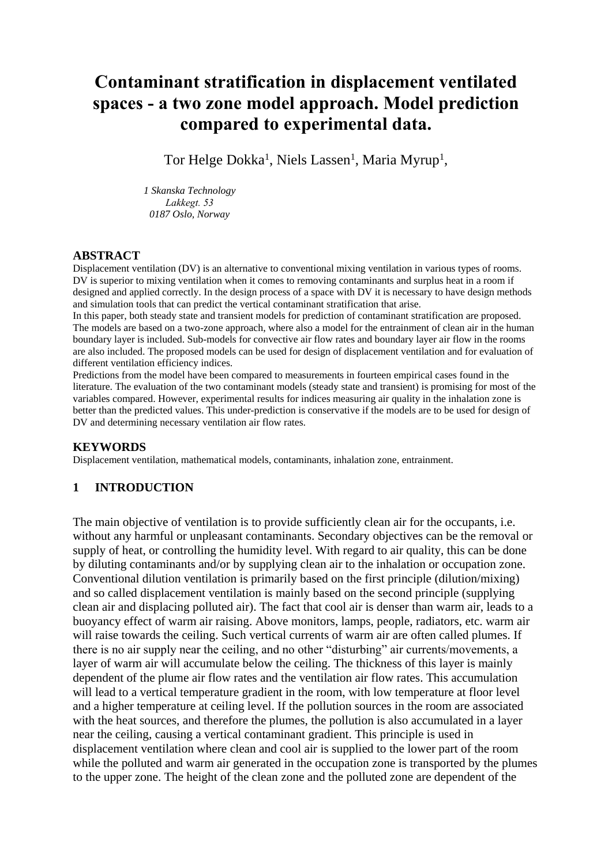# **Contaminant stratification in displacement ventilated spaces - a two zone model approach. Model prediction compared to experimental data.**

Tor Helge Dokka<sup>1</sup>, Niels Lassen<sup>1</sup>, Maria Myrup<sup>1</sup>,

*1 Skanska Technology Lakkegt. 53 0187 Oslo, Norway*

#### **ABSTRACT**

Displacement ventilation (DV) is an alternative to conventional mixing ventilation in various types of rooms. DV is superior to mixing ventilation when it comes to removing contaminants and surplus heat in a room if designed and applied correctly. In the design process of a space with DV it is necessary to have design methods and simulation tools that can predict the vertical contaminant stratification that arise.

In this paper, both steady state and transient models for prediction of contaminant stratification are proposed. The models are based on a two-zone approach, where also a model for the entrainment of clean air in the human boundary layer is included. Sub-models for convective air flow rates and boundary layer air flow in the rooms are also included. The proposed models can be used for design of displacement ventilation and for evaluation of different ventilation efficiency indices.

Predictions from the model have been compared to measurements in fourteen empirical cases found in the literature. The evaluation of the two contaminant models (steady state and transient) is promising for most of the variables compared. However, experimental results for indices measuring air quality in the inhalation zone is better than the predicted values. This under-prediction is conservative if the models are to be used for design of DV and determining necessary ventilation air flow rates.

#### **KEYWORDS**

Displacement ventilation, mathematical models, contaminants, inhalation zone, entrainment.

## **1 INTRODUCTION**

The main objective of ventilation is to provide sufficiently clean air for the occupants, i.e. without any harmful or unpleasant contaminants. Secondary objectives can be the removal or supply of heat, or controlling the humidity level. With regard to air quality, this can be done by diluting contaminants and/or by supplying clean air to the inhalation or occupation zone. Conventional dilution ventilation is primarily based on the first principle (dilution/mixing) and so called displacement ventilation is mainly based on the second principle (supplying clean air and displacing polluted air). The fact that cool air is denser than warm air, leads to a buoyancy effect of warm air raising. Above monitors, lamps, people, radiators, etc. warm air will raise towards the ceiling. Such vertical currents of warm air are often called plumes. If there is no air supply near the ceiling, and no other "disturbing" air currents/movements, a layer of warm air will accumulate below the ceiling. The thickness of this layer is mainly dependent of the plume air flow rates and the ventilation air flow rates. This accumulation will lead to a vertical temperature gradient in the room, with low temperature at floor level and a higher temperature at ceiling level. If the pollution sources in the room are associated with the heat sources, and therefore the plumes, the pollution is also accumulated in a layer near the ceiling, causing a vertical contaminant gradient. This principle is used in displacement ventilation where clean and cool air is supplied to the lower part of the room while the polluted and warm air generated in the occupation zone is transported by the plumes to the upper zone. The height of the clean zone and the polluted zone are dependent of the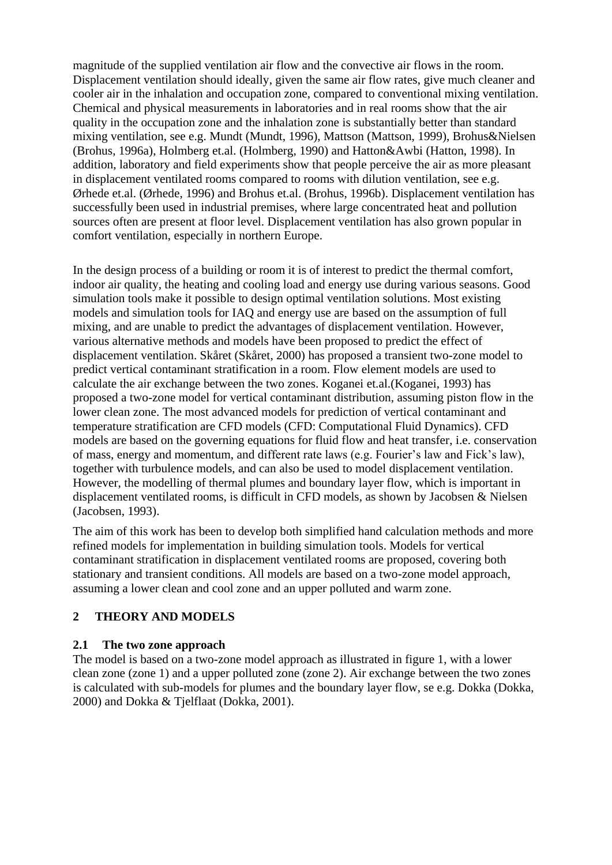magnitude of the supplied ventilation air flow and the convective air flows in the room. Displacement ventilation should ideally, given the same air flow rates, give much cleaner and cooler air in the inhalation and occupation zone, compared to conventional mixing ventilation. Chemical and physical measurements in laboratories and in real rooms show that the air quality in the occupation zone and the inhalation zone is substantially better than standard mixing ventilation, see e.g. Mundt (Mundt, 1996), Mattson (Mattson, 1999), Brohus&Nielsen (Brohus, 1996a), Holmberg et.al. (Holmberg, 1990) and Hatton&Awbi (Hatton, 1998). In addition, laboratory and field experiments show that people perceive the air as more pleasant in displacement ventilated rooms compared to rooms with dilution ventilation, see e.g. Ørhede et.al. (Ørhede, 1996) and Brohus et.al. (Brohus, 1996b). Displacement ventilation has successfully been used in industrial premises, where large concentrated heat and pollution sources often are present at floor level. Displacement ventilation has also grown popular in comfort ventilation, especially in northern Europe.

In the design process of a building or room it is of interest to predict the thermal comfort, indoor air quality, the heating and cooling load and energy use during various seasons. Good simulation tools make it possible to design optimal ventilation solutions. Most existing models and simulation tools for IAQ and energy use are based on the assumption of full mixing, and are unable to predict the advantages of displacement ventilation. However, various alternative methods and models have been proposed to predict the effect of displacement ventilation. Skåret (Skåret, 2000) has proposed a transient two-zone model to predict vertical contaminant stratification in a room. Flow element models are used to calculate the air exchange between the two zones. Koganei et.al.(Koganei, 1993) has proposed a two-zone model for vertical contaminant distribution, assuming piston flow in the lower clean zone. The most advanced models for prediction of vertical contaminant and temperature stratification are CFD models (CFD: Computational Fluid Dynamics). CFD models are based on the governing equations for fluid flow and heat transfer, i.e. conservation of mass, energy and momentum, and different rate laws (e.g. Fourier's law and Fick's law), together with turbulence models, and can also be used to model displacement ventilation. However, the modelling of thermal plumes and boundary layer flow, which is important in displacement ventilated rooms, is difficult in CFD models, as shown by Jacobsen & Nielsen (Jacobsen, 1993).

The aim of this work has been to develop both simplified hand calculation methods and more refined models for implementation in building simulation tools. Models for vertical contaminant stratification in displacement ventilated rooms are proposed, covering both stationary and transient conditions. All models are based on a two-zone model approach, assuming a lower clean and cool zone and an upper polluted and warm zone.

# **2 THEORY AND MODELS**

# **2.1 The two zone approach**

The model is based on a two-zone model approach as illustrated in figure 1, with a lower clean zone (zone 1) and a upper polluted zone (zone 2). Air exchange between the two zones is calculated with sub-models for plumes and the boundary layer flow, se e.g. Dokka (Dokka, 2000) and Dokka & Tjelflaat (Dokka, 2001).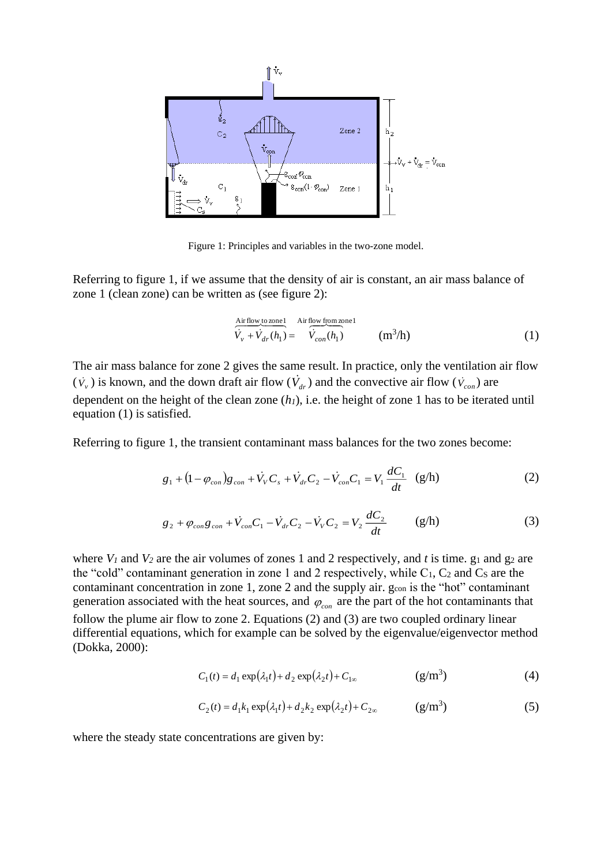

Figure 1: Principles and variables in the two-zone model.

Referring to figure 1, if we assume that the density of air is constant, an air mass balance of zone 1 (clean zone) can be written as (see figure 2):

$$
\frac{\text{Air flow to zone1}}{\dot{V}_{v} + \dot{V}_{dr}(h_1)} = \frac{\text{Air flow from zone1}}{\dot{V}_{con}(h_1)} \qquad (m^3/h)
$$
\n(1)

The air mass balance for zone 2 gives the same result. In practice, only the ventilation air flow  $(\dot{V}_v)$  is known, and the down draft air flow  $(\dot{V}_{dr})$  and the convective air flow  $(\dot{V}_{con})$  are dependent on the height of the clean zone (*h1*), i.e. the height of zone 1 has to be iterated until equation (1) is satisfied.

Referring to figure 1, the transient contaminant mass balances for the two zones become:

$$
g_1 + (1 - \varphi_{con})g_{con} + \dot{V}_V C_s + \dot{V}_{dr} C_2 - \dot{V}_{con} C_1 = V_1 \frac{dC_1}{dt} \quad (g/h)
$$
 (2)

$$
g_2 + \varphi_{con} g_{con} + \dot{V}_{con} C_1 - \dot{V}_{dr} C_2 - \dot{V}_V C_2 = V_2 \frac{dC_2}{dt}
$$
 (g/h) (3)

where  $V_1$  and  $V_2$  are the air volumes of zones 1 and 2 respectively, and *t* is time. g<sub>1</sub> and g<sub>2</sub> are the "cold" contaminant generation in zone 1 and 2 respectively, while  $C_1$ ,  $C_2$  and  $C_5$  are the contaminant concentration in zone 1, zone 2 and the supply air. g<sub>con</sub> is the "hot" contaminant generation associated with the heat sources, and  $\varphi_{con}$  are the part of the hot contaminants that follow the plume air flow to zone 2. Equations (2) and (3) are two coupled ordinary linear differential equations, which for example can be solved by the eigenvalue/eigenvector method (Dokka, 2000):

$$
C_1(t) = d_1 \exp(\lambda_1 t) + d_2 \exp(\lambda_2 t) + C_{1\infty}
$$
 (g/m<sup>3</sup>) (4)

$$
C_2(t) = d_1 k_1 \exp(\lambda_1 t) + d_2 k_2 \exp(\lambda_2 t) + C_{2\infty} \qquad (g/m^3)
$$
 (5)

where the steady state concentrations are given by: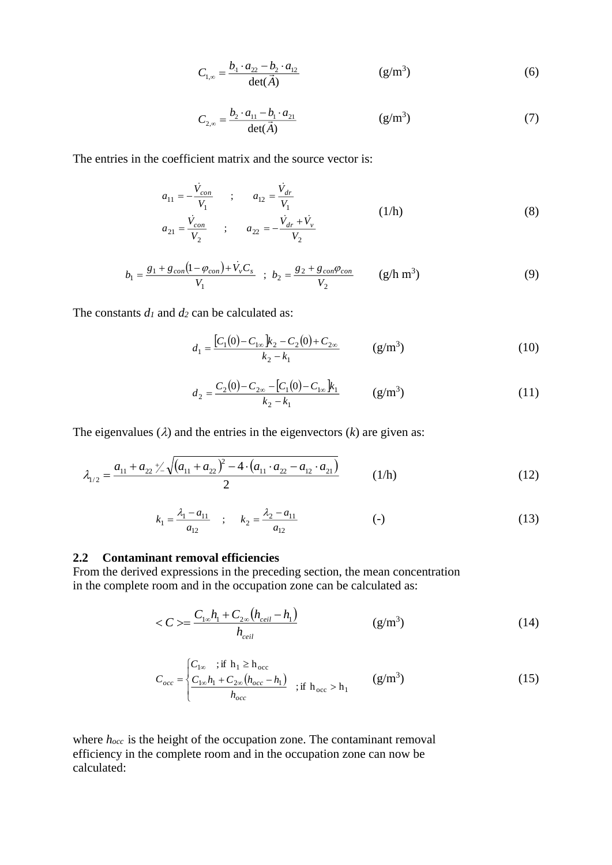$$
C_{1,\infty} = \frac{b_1 \cdot a_{22} - b_2 \cdot a_{12}}{\det(\vec{A})}
$$
 (g/m<sup>3</sup>) (6)

$$
C_{2,\infty} = \frac{b_2 \cdot a_{11} - b_1 \cdot a_{21}}{\det(\vec{A})}
$$
 (g/m<sup>3</sup>) (7)

The entries in the coefficient matrix and the source vector is:

$$
a_{11} = -\frac{\dot{V}_{con}}{V_1} \qquad ; \qquad a_{12} = \frac{\dot{V}_{dr}}{V_1}
$$
\n
$$
a_{21} = \frac{\dot{V}_{con}}{V_2} \qquad ; \qquad a_{22} = -\frac{\dot{V}_{dr} + \dot{V}_{v}}{V_2}
$$
\n(1/h)

$$
b_1 = \frac{g_1 + g_{con}(1 - \varphi_{con}) + \dot{V}_v C_s}{V_1} \; ; \; b_2 = \frac{g_2 + g_{con}\varphi_{con}}{V_2} \qquad (g/h \; m^3)
$$
 (9)

The constants  $d_1$  and  $d_2$  can be calculated as:

$$
d_1 = \frac{[C_1(0) - C_{1\infty}]}{k_2 - k_1} \qquad (g/m^3)
$$
 (10)

$$
d_2 = \frac{C_2(0) - C_{2\infty} - [C_1(0) - C_{1\infty}]}{k_2 - k_1}
$$
 (g/m<sup>3</sup>) (11)

The eigenvalues  $(\lambda)$  and the entries in the eigenvectors  $(k)$  are given as:

$$
\lambda_{1/2} = \frac{a_{11} + a_{22} \sqrt{(a_{11} + a_{22})^2 - 4 \cdot (a_{11} \cdot a_{22} - a_{12} \cdot a_{21})}}{2}
$$
 (1/h) (12)

$$
k_1 = \frac{\lambda_1 - a_{11}}{a_{12}} \quad ; \quad k_2 = \frac{\lambda_2 - a_{11}}{a_{12}} \tag{13}
$$

#### **2.2 Contaminant removal efficiencies**

From the derived expressions in the preceding section, the mean concentration in the complete room and in the occupation zone can be calculated as:

$$
\langle C \rangle = \frac{C_{1\infty}h_1 + C_{2\infty}(h_{ceil} - h_1)}{h_{ceil}} \tag{14}
$$

$$
C_{occ} = \begin{cases} C_{1\infty} &; \text{if } h_1 \ge h_{\text{occ}} \\ \frac{C_{1\infty}h_1 + C_{2\infty}(h_{\text{occ}} - h_1)}{h_{\text{occ}}} &; \text{if } h_{\text{occ}} > h_1 \end{cases} \qquad (g/m^3)
$$
 (15)

where *h*<sub>occ</sub> is the height of the occupation zone. The contaminant removal efficiency in the complete room and in the occupation zone can now be calculated: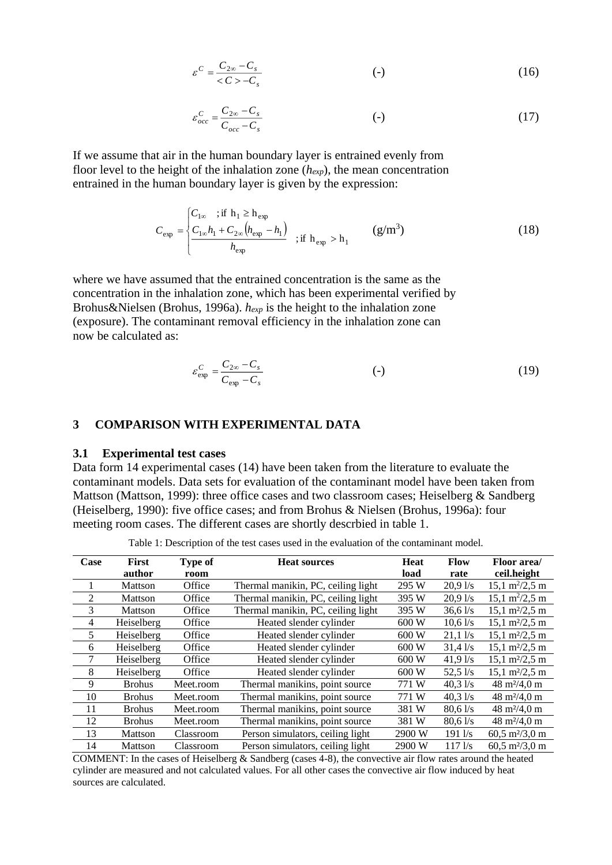$$
\varepsilon^{C} = \frac{C_{2\infty} - C_{s}}{<<\varepsilon > -C_{s}}
$$
 (16)

$$
\varepsilon_{occ}^C = \frac{C_{2\infty} - C_s}{C_{occ} - C_s} \tag{17}
$$

If we assume that air in the human boundary layer is entrained evenly from floor level to the height of the inhalation zone (*hexp*), the mean concentration entrained in the human boundary layer is given by the expression:

$$
C_{\rm exp} = \begin{cases} C_{\rm 1\infty} & \text{if } h_1 \ge h_{\rm exp} \\ \frac{C_{\rm 1\infty}h_1 + C_{\rm 2\infty}(h_{\rm exp} - h_1)}{h_{\rm exp}} & \text{if } h_{\rm exp} > h_1 \end{cases} \qquad \text{(g/m}^3\text{)}\tag{18}
$$

where we have assumed that the entrained concentration is the same as the concentration in the inhalation zone, which has been experimental verified by Brohus&Nielsen (Brohus, 1996a). *hexp* is the height to the inhalation zone (exposure). The contaminant removal efficiency in the inhalation zone can now be calculated as:

$$
\varepsilon_{\exp}^{C} = \frac{C_{2\infty} - C_s}{C_{\exp} - C_s} \tag{19}
$$

#### **3 COMPARISON WITH EXPERIMENTAL DATA**

## **3.1 Experimental test cases**

Data form 14 experimental cases (14) have been taken from the literature to evaluate the contaminant models. Data sets for evaluation of the contaminant model have been taken from Mattson (Mattson, 1999): three office cases and two classroom cases; Heiselberg & Sandberg (Heiselberg, 1990): five office cases; and from Brohus & Nielsen (Brohus, 1996a): four meeting room cases. The different cases are shortly descrbied in table 1.

Table 1: Description of the test cases used in the evaluation of the contaminant model.

| Case           | First<br>author | Type of<br>room | <b>Heat sources</b>                | Heat<br>load | <b>Flow</b><br>rate | Floor area/<br>ceil.height             |
|----------------|-----------------|-----------------|------------------------------------|--------------|---------------------|----------------------------------------|
|                | Mattson         | Office          | Thermal manikin, PC, ceiling light | 295 W        | 20.91/s             | $15,1 \text{ m}^2/2,5 \text{ m}$       |
| 2              | Mattson         | Office          | Thermal manikin, PC, ceiling light | 395 W        | 20.91/s             | $15.1 \text{ m}^2/2.5 \text{ m}$       |
| 3              | Mattson         | Office          | Thermal manikin, PC, ceiling light | 395 W        | $36,6$ l/s          | $15,1 \text{ m}^2/2,5 \text{ m}$       |
| $\overline{4}$ | Heiselberg      | Office          | Heated slender cylinder            | 600 W        | $10,6$ l/s          | $15,1 \text{ m}^2/2,5 \text{ m}$       |
| 5              | Heiselberg      | Office          | Heated slender cylinder            | 600 W        | 21,11/s             | $15,1 \text{ m}^2/2,5 \text{ m}$       |
| 6              | Heiselberg      | Office          | Heated slender cylinder            | 600 W        | 31,41/s             | $15,1 \text{ m}^2/2,5 \text{ m}$       |
| 7              | Heiselberg      | Office          | Heated slender cylinder            | 600 W        | $41,9$ l/s          | $15,1 \text{ m}^2/2,5 \text{ m}$       |
| 8              | Heiselberg      | Office          | Heated slender cylinder            | 600 W        | $52,5$ $1/s$        | $15,1 \text{ m}^2/2,5 \text{ m}$       |
| 9              | <b>Brohus</b>   | Meet.room       | Thermal manikins, point source     | 771 W        | $40,3$ l/s          | $48 \text{ m}^2/4,0 \text{ m}$         |
| 10             | <b>Brohus</b>   | Meet.room       | Thermal manikins, point source     | 771 W        | $40,3$ l/s          | $48 \text{ m}^2/4,0 \text{ m}$         |
| 11             | <b>Brohus</b>   | Meet.room       | Thermal manikins, point source     | 381 W        | $80,6$ l/s          | $48 \text{ m}^2/4,0 \text{ m}$         |
| 12             | <b>Brohus</b>   | Meet.room       | Thermal manikins, point source     | 381 W        | $80,6$ l/s          | $48 \text{ m}^2/4,0 \text{ m}$         |
| 13             | Mattson         | Classroom       | Person simulators, ceiling light   | 2900 W       | $191$ $\sqrt{s}$    | $60,5 \frac{\text{m}}{2}$ , 0 m        |
| 14             | Mattson         | Classroom       | Person simulators, ceiling light   | 2900 W       | $117$ $\text{Vs}$   | $60,5 \frac{\text{m}^2}{3,0 \text{m}}$ |

COMMENT: In the cases of Heiselberg & Sandberg (cases 4-8), the convective air flow rates around the heated cylinder are measured and not calculated values. For all other cases the convective air flow induced by heat sources are calculated.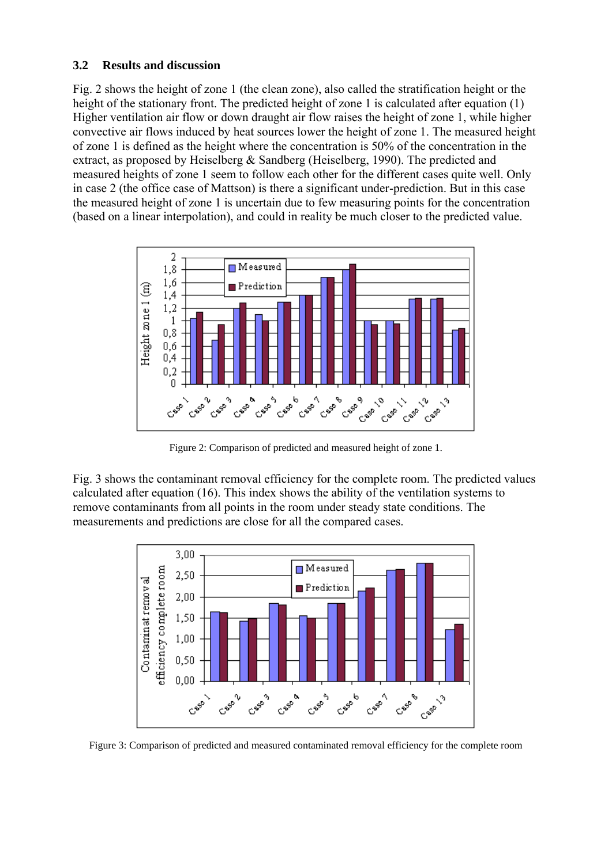## **3.2 Results and discussion**

Fig. 2 shows the height of zone 1 (the clean zone), also called the stratification height or the height of the stationary front. The predicted height of zone 1 is calculated after equation (1) Higher ventilation air flow or down draught air flow raises the height of zone 1, while higher convective air flows induced by heat sources lower the height of zone 1. The measured height of zone 1 is defined as the height where the concentration is 50% of the concentration in the extract, as proposed by Heiselberg & Sandberg (Heiselberg, 1990). The predicted and measured heights of zone 1 seem to follow each other for the different cases quite well. Only in case 2 (the office case of Mattson) is there a significant under-prediction. But in this case the measured height of zone 1 is uncertain due to few measuring points for the concentration (based on a linear interpolation), and could in reality be much closer to the predicted value.



Figure 2: Comparison of predicted and measured height of zone 1.

Fig. 3 shows the contaminant removal efficiency for the complete room. The predicted values calculated after equation (16). This index shows the ability of the ventilation systems to remove contaminants from all points in the room under steady state conditions. The measurements and predictions are close for all the compared cases.



Figure 3: Comparison of predicted and measured contaminated removal efficiency for the complete room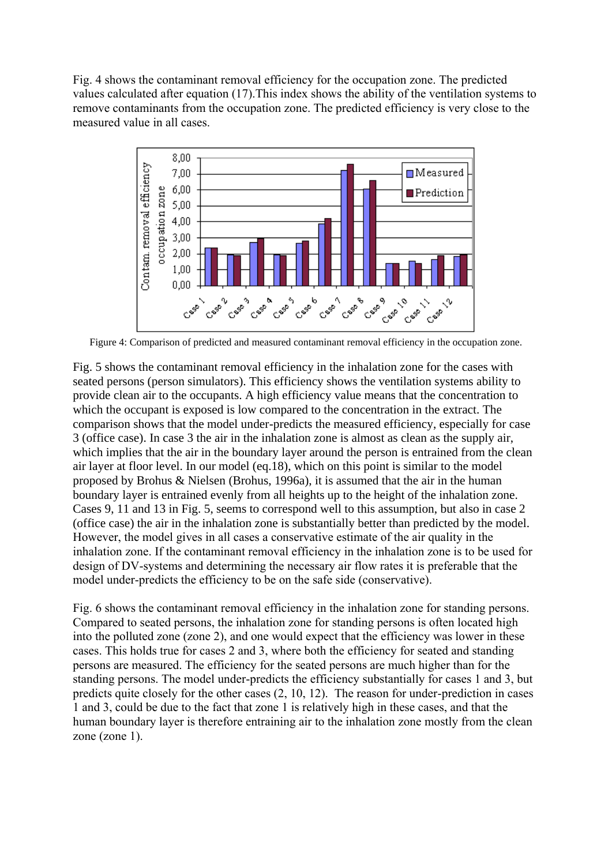Fig. 4 shows the contaminant removal efficiency for the occupation zone. The predicted values calculated after equation (17).This index shows the ability of the ventilation systems to remove contaminants from the occupation zone. The predicted efficiency is very close to the measured value in all cases.



Figure 4: Comparison of predicted and measured contaminant removal efficiency in the occupation zone.

Fig. 5 shows the contaminant removal efficiency in the inhalation zone for the cases with seated persons (person simulators). This efficiency shows the ventilation systems ability to provide clean air to the occupants. A high efficiency value means that the concentration to which the occupant is exposed is low compared to the concentration in the extract. The comparison shows that the model under-predicts the measured efficiency, especially for case 3 (office case). In case 3 the air in the inhalation zone is almost as clean as the supply air, which implies that the air in the boundary layer around the person is entrained from the clean air layer at floor level. In our model (eq.18), which on this point is similar to the model proposed by Brohus & Nielsen (Brohus, 1996a), it is assumed that the air in the human boundary layer is entrained evenly from all heights up to the height of the inhalation zone. Cases 9, 11 and 13 in Fig. 5, seems to correspond well to this assumption, but also in case 2 (office case) the air in the inhalation zone is substantially better than predicted by the model. However, the model gives in all cases a conservative estimate of the air quality in the inhalation zone. If the contaminant removal efficiency in the inhalation zone is to be used for design of DV-systems and determining the necessary air flow rates it is preferable that the model under-predicts the efficiency to be on the safe side (conservative).

Fig. 6 shows the contaminant removal efficiency in the inhalation zone for standing persons. Compared to seated persons, the inhalation zone for standing persons is often located high into the polluted zone (zone 2), and one would expect that the efficiency was lower in these cases. This holds true for cases 2 and 3, where both the efficiency for seated and standing persons are measured. The efficiency for the seated persons are much higher than for the standing persons. The model under-predicts the efficiency substantially for cases 1 and 3, but predicts quite closely for the other cases (2, 10, 12). The reason for under-prediction in cases 1 and 3, could be due to the fact that zone 1 is relatively high in these cases, and that the human boundary layer is therefore entraining air to the inhalation zone mostly from the clean zone (zone 1).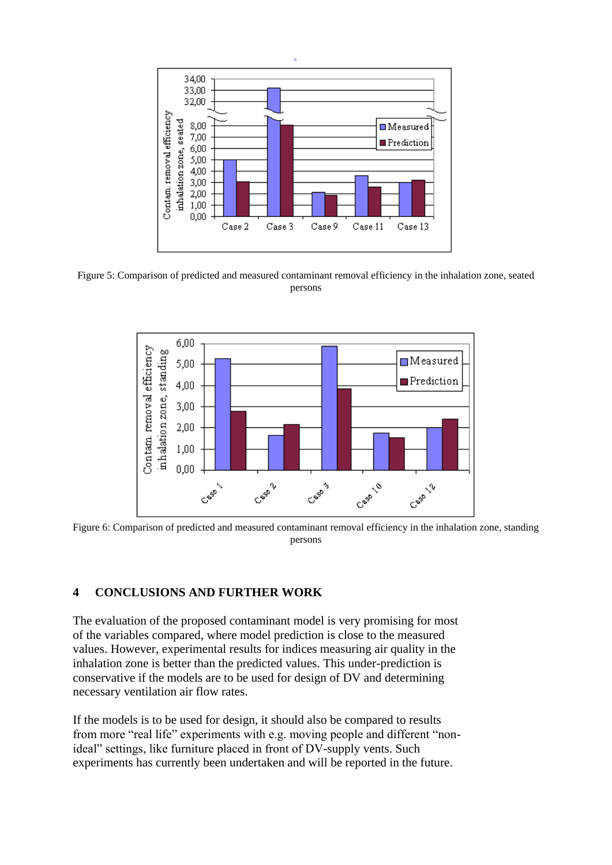

Figure 5: Comparison of predicted and measured contaminant removal efficiency in the inhalation zone, seated persons



Figure 6: Comparison of predicted and measured contaminant removal efficiency in the inhalation zone, standing persons

## **4 CONCLUSIONS AND FURTHER WORK**

The evaluation of the proposed contaminant model is very promising for most of the variables compared, where model prediction is close to the measured values. However, experimental results for indices measuring air quality in the inhalation zone is better than the predicted values. This under-prediction is conservative if the models are to be used for design of DV and determining necessary ventilation air flow rates.

If the models is to be used for design, it should also be compared to results from more "real life" experiments with e.g. moving people and different "nonideal" settings, like furniture placed in front of DV-supply vents. Such experiments has currently been undertaken and will be reported in the future.